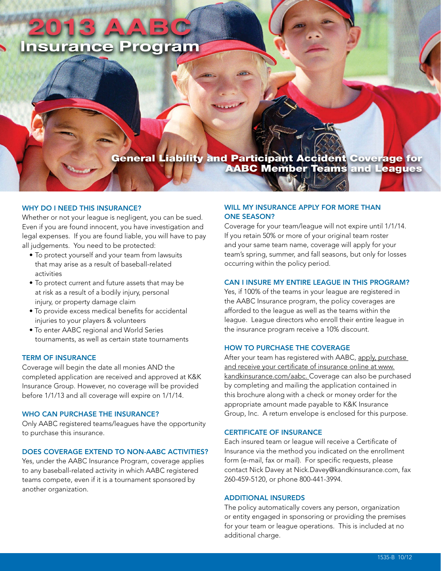# **Insurance Program**

# General Liability and Participant Accident Coverage for<br>AABC Member Teams and Leagues

#### WHY DO I NFFD THIS INSURANCE?

Whether or not your league is negligent, you can be sued. Even if you are found innocent, you have investigation and legal expenses. If you are found liable, you will have to pay all judgements. You need to be protected:

- To protect yourself and your team from lawsuits that may arise as a result of baseball-related activities
- To protect current and future assets that may be at risk as a result of a bodily injury, personal injury, or property damage claim
- To provide excess medical benefits for accidental injuries to your players & volunteers
- To enter AABC regional and World Series tournaments, as well as certain state tournaments

#### TERM OF INSURANCE

Coverage will begin the date all monies AND the completed application are received and approved at K&K Insurance Group. However, no coverage will be provided before 1/1/13 and all coverage will expire on 1/1/14.

#### WHO CAN PURCHASE THE INSURANCE?

Only AABC registered teams/leagues have the opportunity to purchase this insurance.

# DOES COVERAGE EXTEND TO NON-AABC ACTIVITIES?

Yes, under the AABC Insurance Program, coverage applies to any baseball-related activity in which AABC registered teams compete, even if it is a tournament sponsored by another organization.

# WILL MY INSURANCE APPLY FOR MORE THAN ONE SEASON?

Coverage for your team/league will not expire until 1/1/14. If you retain 50% or more of your original team roster and your same team name, coverage will apply for your team's spring, summer, and fall seasons, but only for losses occurring within the policy period.

# CAN I INSURE MY ENTIRE LEAGUE IN THIS PROGRAM?

Yes, if 100% of the teams in your league are registered in the AABC Insurance program, the policy coverages are afforded to the league as well as the teams within the league. League directors who enroll their entire league in the insurance program receive a 10% discount.

#### HOW TO PURCHASE THE COVERAGE

After your team has registered with AABC, apply, purchase and receive your certificate of insurance online at www. kandkinsurance.com/aabc. Coverage can also be purchased by completing and mailing the application contained in this brochure along with a check or money order for the appropriate amount made payable to K&K Insurance Group, Inc. A return envelope is enclosed for this purpose.

#### CERTIFICATE OF INSURANCE

Each insured team or league will receive a Certificate of Insurance via the method you indicated on the enrollment form (e-mail, fax or mail). For specific requests, please contact Nick Davey at Nick.Davey@kandkinsurance.com, fax 260-459-5120, or phone 800-441-3994.

#### ADDITIONAL INSUREDS

The policy automatically covers any person, organization or entity engaged in sponsoring or providing the premises for your team or league operations. This is included at no additional charge.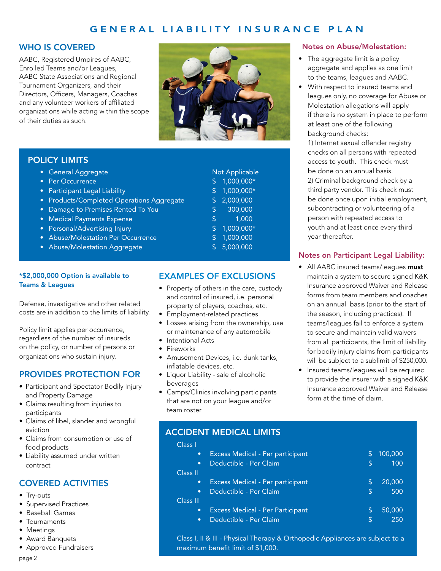# GENERAL LIABILITY INSURANCE PLAN

# WHO IS COVERED

AABC, Registered Umpires of AABC, Enrolled Teams and/or Leagues, AABC State Associations and Regional Tournament Organizers, and their Directors, Officers, Managers, Coaches and any volunteer workers of affiliated organizations while acting within the scope of their duties as such.



# POLICY LIMITS

- General Aggregate
- Per Occurrence
- Participant Legal Liability
- Products/Completed Operations Aggregate
- Damage to Premises Rented To You
- Medical Payments Expense
- Personal/Advertising Injury
- Abuse/Molestation Per Occurrence
- Abuse/Molestation Aggregate \$ 5,000,000

# \*\$2,000,000 Option is available to Teams & Leagues

Defense, investigative and other related costs are in addition to the limits of liability.

Policy limit applies per occurrence, regardless of the number of insureds on the policy, or number of persons or organizations who sustain injury.

# PROVIDES PROTECTION FOR

- Participant and Spectator Bodily Injury and Property Damage
- Claims resulting from injuries to participants
- Claims of libel, slander and wrongful eviction
- Claims from consumption or use of food products
- Liability assumed under written contract

# COVERED ACTIVITIES

- Try-outs
- • Supervised Practices
- • Baseball Games
- Tournaments
- Meetings
- Award Banquets
- • Approved Fundraisers

EXAMPLES OF EXCLUSIONS

- Property of others in the care, custody and control of insured, i.e. personal property of players, coaches, etc.
- • Employment-related practices
- Losses arising from the ownership, use or maintenance of any automobile
- Intentional Acts
- Fireworks
- • Amusement Devices, i.e. dunk tanks, inflatable devices, etc.
- Liquor Liability sale of alcoholic beverages
- • Camps/Clinics involving participants that are not on your league and/or team roster

#### Notes on Abuse/Molestation:

- The aggregate limit is a policy aggregate and applies as one limit to the teams, leagues and AABC.
- With respect to insured teams and leagues only, no coverage for Abuse or Molestation allegations will apply if there is no system in place to perform at least one of the following background checks:

1) Internet sexual offender registry checks on all persons with repeated access to youth. This check must be done on an annual basis. 2) Criminal background check by a third party vendor. This check must be done once upon initial employment, subcontracting or volunteering of a person with repeated access to youth and at least once every third year thereafter.

# Notes on Participant Legal Liability:

- All AABC insured teams/leagues must maintain a system to secure signed K&K Insurance approved Waiver and Release forms from team members and coaches on an annual basis (prior to the start of the season, including practices). If teams/leagues fail to enforce a system to secure and maintain valid waivers from all participants, the limit of liability for bodily injury claims from participants will be subject to a sublimit of \$250,000.
- Insured teams/leagues will be required to provide the insurer with a signed K&K Insurance approved Waiver and Release form at the time of claim.

# ACCIDENT MEDICAL LIMITS

| Class I   |                                  |    |         |
|-----------|----------------------------------|----|---------|
| $\bullet$ | Excess Medical - Per participant | S  | 100,000 |
| $\bullet$ | Deductible - Per Claim           | \$ | 100     |
| Class II  |                                  |    |         |
| $\bullet$ | Excess Medical - Per participant | S  | 20,000  |
| $\bullet$ | Deductible - Per Claim           | S  | 500     |
| Class III |                                  |    |         |
| $\bullet$ | Excess Medical - Per Participant | S  | 50,000  |
| $\bullet$ | Deductible - Per Claim           | S  | 250     |
|           |                                  |    |         |

Class I, II & III - Physical Therapy & Orthopedic Appliances are subject to a maximum benefit limit of \$1,000.

|                         | Not Applicable |
|-------------------------|----------------|
| \$                      | 1,000,000*     |
| \$                      | 1,000,000*     |
| \$                      | 2,000,000      |
| $\overline{\mathsf{S}}$ | 300,000        |
| \$                      | 1,000          |
| \$                      | $1,000,000*$   |
| ¢                       | nnn nnn        |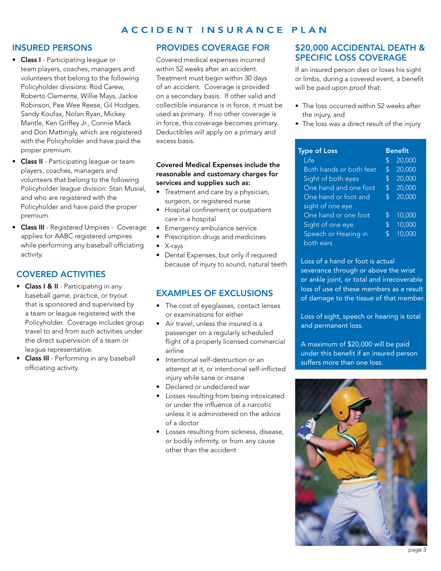#### ACCIDENT INSURANCE PLAN

# INSURED PERSONS

- Class I Participating league or team players, coaches, managers and volunteers that belong to the following Policyholder divisions: Rod Carew, Roberto Clemente, Willie Mays, Jackie Robinson, Pee Wee Reese, Gil Hodges, Sandy Koufax, Nolan Ryan, Mickey Mantle, Ken Griffey Jr., Connie Mack and Don Mattingly, which are registered with the Policyholder and have paid the proper premium.
- Class II Participating league or team players, coaches, managers and volunteers that belong to the following Policyholder league division: Stan Musial, and who are registered with the Policyholder and have paid the proper premium.
- Class III Registered Umpires Coverage applies for AABC registered umpires while performing any baseball officiating activity.

# COVERED ACTIVITIES

- Class I & II Participating in any baseball game, practice, or tryout that is sponsored and supervised by a team or league registered with the Policyholder. Coverage includes group travel to and from such activities under the direct supervision of a team or league representative.
- Class III Performing in any baseball officiating activity.

# PROVIDES COVERAGE FOR

Covered medical expenses incurred within 52 weeks after an accident. Treatment must begin within 30 days of an accident. Coverage is provided on a secondary basis. If other valid and collectible insurance is in force, it must be used as primary. If no other coverage is in force, this coverage becomes primary. Deductibles will apply on a primary and excess basis.

# Covered Medical Expenses include the reasonable and customary charges for services and supplies such as:

- Treatment and care by a physician, surgeon, or registered nurse
- • Hospital confinement or outpatient care in a hospital
- Emergency ambulance service
- Prescription drugs and medicines
- • X-rays
- Dental Expenses, but only if required because of injury to sound, natural teeth

# EXAMPLES OF EXCLUSIONS

- The cost of eyeglasses, contact lenses or examinations for either
- Air travel, unless the insured is a passenger on a regularly scheduled flight of a properly licensed commercial airline
- Intentional self-destruction or an attempt at it, or intentional self-inflicted injury while sane or insane
- • Declared or undeclared war
- Losses resulting from being intoxicated or under the influence of a narcotic unless it is administered on the advice of a doctor
- Losses resulting from sickness, disease, or bodily infirmity, or from any cause other than the accident

# \$20,000 ACCIDENTAL DEATH & SPECIFIC LOSS COVERAGE

If an insured person dies or loses his sight or limbs, during a covered event, a benefit will be paid upon proof that:

- The loss occurred within 52 weeks after the injury, and
- The loss was a direct result of the injury

| <b>Type of Loss</b>     |    | <b>Benefit</b> |  |
|-------------------------|----|----------------|--|
| Life                    | \$ | 20,000         |  |
| Both hands or both feet | \$ | 20,000         |  |
| Sight of both eyes      | \$ | 20,000         |  |
| One hand and one foot   | \$ | 20,000         |  |
| One hand or foot and    | \$ | 20,000         |  |
| sight of one eye        |    |                |  |
| One hand or one foot    | \$ | 10,000         |  |
| Sight of one eye        | \$ | 10,000         |  |
| Speech or Hearing in    | \$ | 10,000         |  |
| both ears               |    |                |  |

Loss of a hand or foot is actual severance through or above the wrist or ankle joint, or total and irrecoverable loss of use of these members as a result of damage to the tissue of that member.

Loss of sight, speech or hearing is total and permanent loss.

A maximum of \$20,000 will be paid under this benefit if an insured person suffers more than one loss.